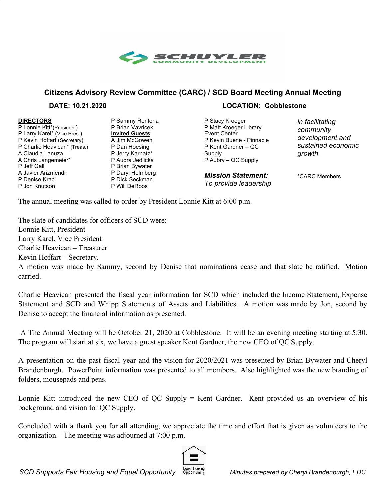

## **Citizens Advisory Review Committee (CARC) / SCD Board Meeting Annual Meeting**

**DIRECTORS** P Lonnie Kitt\*(President) P Larry Karel\* (Vice Pres.) P Kevin Hoffart (Secretary) P Charlie Heavican\* (Treas.) A Claudia Lanuza A Chris Langemeier\* P Jeff Gall A Javier Arizmendi P Denise Kracl P Jon Knutson

P Sammy Renteria P Brian Vavricek **Invited Guests** A Jim McGowen P Dan Hoesing P Jerry Karnatz\* P Audra Jedlicka P Brian Bywater P Daryl Holmberg P Dick Seckman P Will DeRoos

## **DATE: 10.21.2020 LOCATION: Cobblestone**

P Stacy Kroeger P Matt Kroeger Library Event Center P Kevin Buene - Pinnacle P Kent Gardner – QC **Supply** P Aubry – QC Supply

*Mission Statement: To provide leadership* *in facilitating community development and sustained economic growth.*

\*CARC Members

The annual meeting was called to order by President Lonnie Kitt at 6:00 p.m.

The slate of candidates for officers of SCD were: Lonnie Kitt, President Larry Karel, Vice President Charlie Heavican – Treasurer Kevin Hoffart – Secretary.

A motion was made by Sammy, second by Denise that nominations cease and that slate be ratified. Motion carried.

Charlie Heavican presented the fiscal year information for SCD which included the Income Statement, Expense Statement and SCD and Whipp Statements of Assets and Liabilities. A motion was made by Jon, second by Denise to accept the financial information as presented.

A The Annual Meeting will be October 21, 2020 at Cobblestone. It will be an evening meeting starting at 5:30. The program will start at six, we have a guest speaker Kent Gardner, the new CEO of QC Supply.

A presentation on the past fiscal year and the vision for 2020/2021 was presented by Brian Bywater and Cheryl Brandenburgh. PowerPoint information was presented to all members. Also highlighted was the new branding of folders, mousepads and pens.

Lonnie Kitt introduced the new CEO of QC Supply = Kent Gardner. Kent provided us an overview of his background and vision for QC Supply.

Concluded with a thank you for all attending, we appreciate the time and effort that is given as volunteers to the organization. The meeting was adjourned at 7:00 p.m.